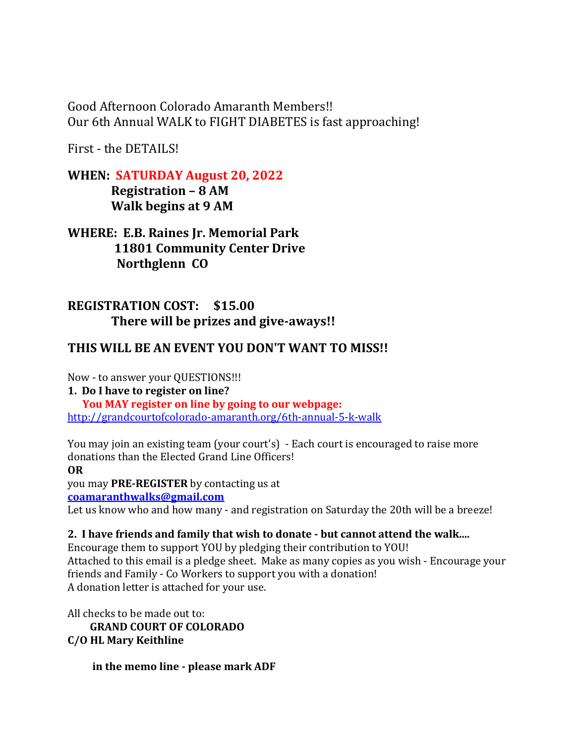Good Afternoon Colorado Amaranth Members!! Our 6th Annual WALK to FIGHT DIABETES is fast approaching!

First - the DETAILS!

**WHEN: SATURDAY August 20, 2022**

 **Registration – 8 AM Walk begins at 9 AM**

**WHERE: E.B. Raines Jr. Memorial Park 11801 Community Center Drive Northglenn CO**

## **REGISTRATION COST: \$15.00 There will be prizes and give-aways!!**

# **THIS WILL BE AN EVENT YOU DON'T WANT TO MISS!!**

Now - to answer your QUESTIONS!!!

**1. Do I have to register on line?**

 **You MAY register on line by going to our webpage:** <http://grandcourtofcolorado-amaranth.org/6th-annual-5-k-walk>

You may join an existing team (your court's) - Each court is encouraged to raise more donations than the Elected Grand Line Officers!

**OR**

you may **PRE-REGISTER** by contacting us at

**[coamaranthwalks@gmail.com](mailto:coamaranthwalks@gmail.com)**

Let us know who and how many - and registration on Saturday the 20th will be a breeze!

### **2. I have friends and family that wish to donate - but cannot attend the walk....**

Encourage them to support YOU by pledging their contribution to YOU! Attached to this email is a pledge sheet. Make as many copies as you wish - Encourage your friends and Family - Co Workers to support you with a donation! A donation letter is attached for your use.

All checks to be made out to:  **GRAND COURT OF COLORADO C/O HL Mary Keithline**

 **in the memo line - please mark ADF**